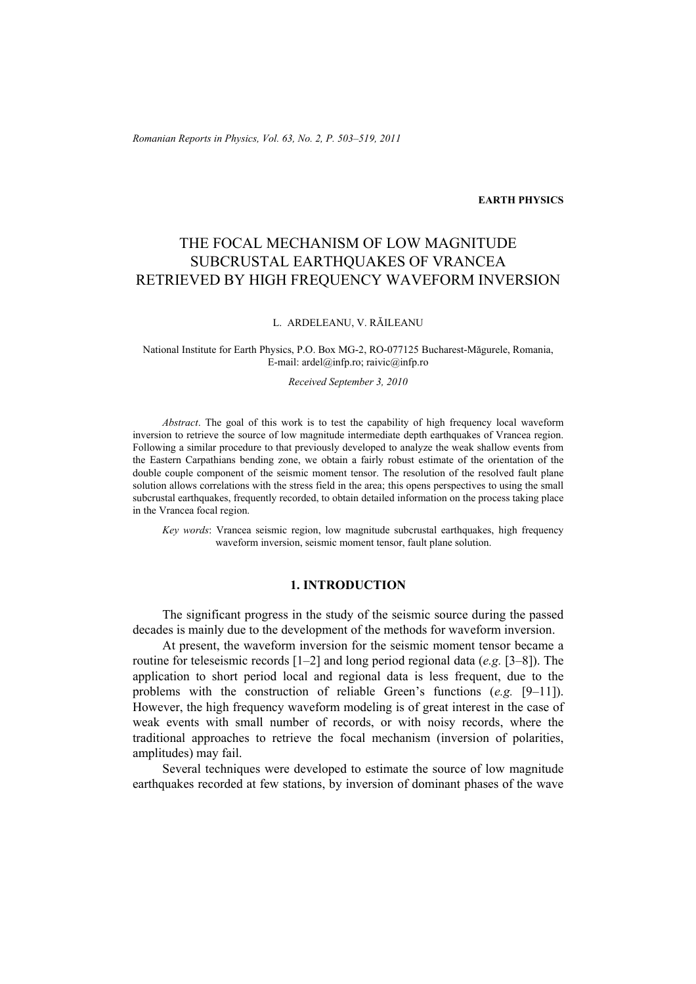*Romanian Reports in Physics, Vol. 63, No. 2, P. 503–519, 2011*

#### **EARTH PHYSICS**

# THE FOCAL MECHANISM OF LOW MAGNITUDE SUBCRUSTAL EARTHQUAKES OF VRANCEA RETRIEVED BY HIGH FREQUENCY WAVEFORM INVERSION

#### L. ARDELEANU, V. RĂILEANU

#### National Institute for Earth Physics, P.O. Box MG-2, RO-077125 Bucharest-Măgurele, Romania, E-mail: ardel@infp.ro; raivic@infp.ro

#### *Received September 3, 2010*

*Abstract*. The goal of this work is to test the capability of high frequency local waveform inversion to retrieve the source of low magnitude intermediate depth earthquakes of Vrancea region. Following a similar procedure to that previously developed to analyze the weak shallow events from the Eastern Carpathians bending zone, we obtain a fairly robust estimate of the orientation of the double couple component of the seismic moment tensor. The resolution of the resolved fault plane solution allows correlations with the stress field in the area; this opens perspectives to using the small subcrustal earthquakes, frequently recorded, to obtain detailed information on the process taking place in the Vrancea focal region.

*Key words*: Vrancea seismic region, low magnitude subcrustal earthquakes, high frequency waveform inversion, seismic moment tensor, fault plane solution.

## **1. INTRODUCTION**

The significant progress in the study of the seismic source during the passed decades is mainly due to the development of the methods for waveform inversion.

At present, the waveform inversion for the seismic moment tensor became a routine for teleseismic records [1–2] and long period regional data (*e.g.* [3–8]). The application to short period local and regional data is less frequent, due to the problems with the construction of reliable Green's functions (*e.g.* [9–11]). However, the high frequency waveform modeling is of great interest in the case of weak events with small number of records, or with noisy records, where the traditional approaches to retrieve the focal mechanism (inversion of polarities, amplitudes) may fail.

Several techniques were developed to estimate the source of low magnitude earthquakes recorded at few stations, by inversion of dominant phases of the wave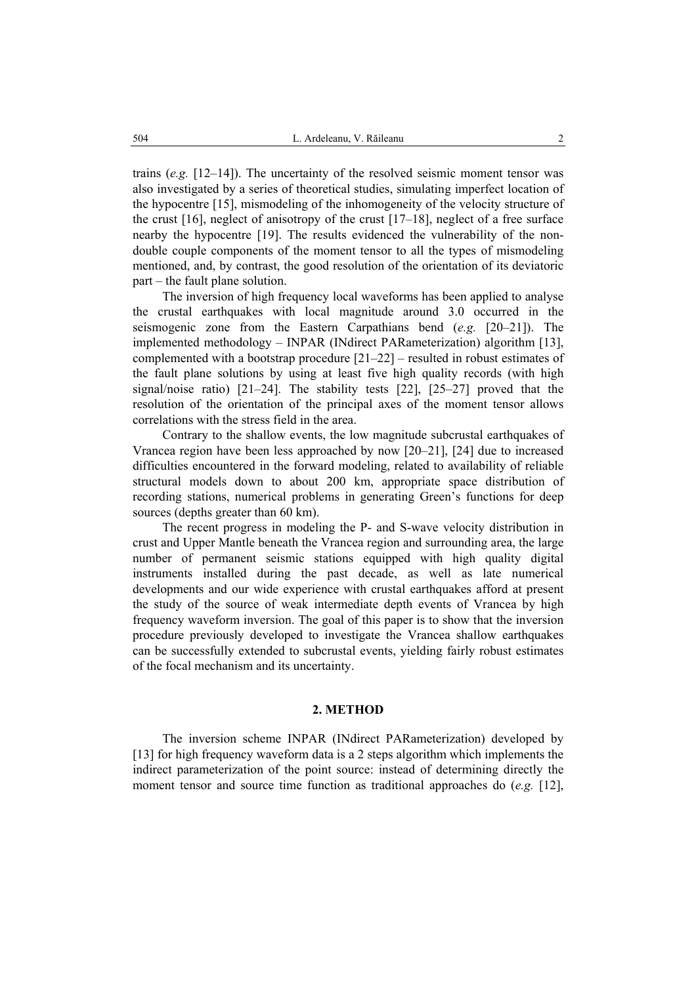trains (*e.g.* [12–14]). The uncertainty of the resolved seismic moment tensor was also investigated by a series of theoretical studies, simulating imperfect location of the hypocentre [15], mismodeling of the inhomogeneity of the velocity structure of the crust  $[16]$ , neglect of anisotropy of the crust  $[17-18]$ , neglect of a free surface nearby the hypocentre [19]. The results evidenced the vulnerability of the nondouble couple components of the moment tensor to all the types of mismodeling mentioned, and, by contrast, the good resolution of the orientation of its deviatoric part – the fault plane solution.

The inversion of high frequency local waveforms has been applied to analyse the crustal earthquakes with local magnitude around 3.0 occurred in the seismogenic zone from the Eastern Carpathians bend (*e.g.* [20–21]). The implemented methodology – INPAR (INdirect PARameterization) algorithm [13], complemented with a bootstrap procedure [21–22] – resulted in robust estimates of the fault plane solutions by using at least five high quality records (with high signal/noise ratio) [21–24]. The stability tests [22], [25–27] proved that the resolution of the orientation of the principal axes of the moment tensor allows correlations with the stress field in the area.

Contrary to the shallow events, the low magnitude subcrustal earthquakes of Vrancea region have been less approached by now [20–21], [24] due to increased difficulties encountered in the forward modeling, related to availability of reliable structural models down to about 200 km, appropriate space distribution of recording stations, numerical problems in generating Green's functions for deep sources (depths greater than 60 km).

The recent progress in modeling the P- and S-wave velocity distribution in crust and Upper Mantle beneath the Vrancea region and surrounding area, the large number of permanent seismic stations equipped with high quality digital instruments installed during the past decade, as well as late numerical developments and our wide experience with crustal earthquakes afford at present the study of the source of weak intermediate depth events of Vrancea by high frequency waveform inversion. The goal of this paper is to show that the inversion procedure previously developed to investigate the Vrancea shallow earthquakes can be successfully extended to subcrustal events, yielding fairly robust estimates of the focal mechanism and its uncertainty.

## **2. METHOD**

The inversion scheme INPAR (INdirect PARameterization) developed by [13] for high frequency waveform data is a 2 steps algorithm which implements the indirect parameterization of the point source: instead of determining directly the moment tensor and source time function as traditional approaches do (*e.g.* [12],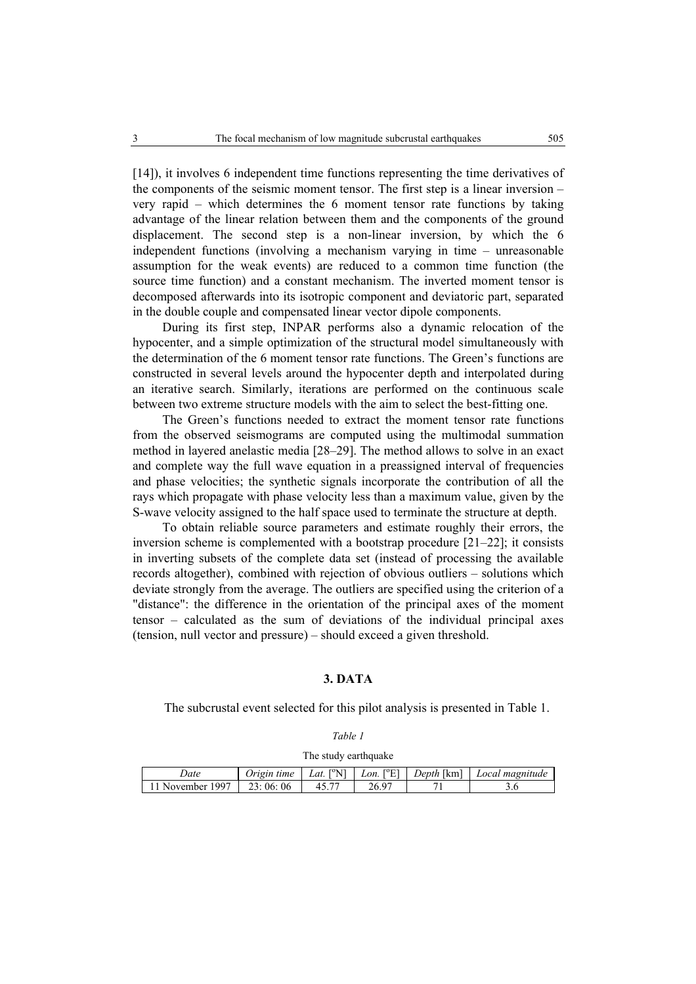[14]), it involves 6 independent time functions representing the time derivatives of the components of the seismic moment tensor. The first step is a linear inversion – very rapid – which determines the 6 moment tensor rate functions by taking advantage of the linear relation between them and the components of the ground displacement. The second step is a non-linear inversion, by which the 6 independent functions (involving a mechanism varying in time – unreasonable assumption for the weak events) are reduced to a common time function (the source time function) and a constant mechanism. The inverted moment tensor is decomposed afterwards into its isotropic component and deviatoric part, separated in the double couple and compensated linear vector dipole components.

During its first step, INPAR performs also a dynamic relocation of the hypocenter, and a simple optimization of the structural model simultaneously with the determination of the 6 moment tensor rate functions. The Green's functions are constructed in several levels around the hypocenter depth and interpolated during an iterative search. Similarly, iterations are performed on the continuous scale between two extreme structure models with the aim to select the best-fitting one.

The Green's functions needed to extract the moment tensor rate functions from the observed seismograms are computed using the multimodal summation method in layered anelastic media [28–29]. The method allows to solve in an exact and complete way the full wave equation in a preassigned interval of frequencies and phase velocities; the synthetic signals incorporate the contribution of all the rays which propagate with phase velocity less than a maximum value, given by the S-wave velocity assigned to the half space used to terminate the structure at depth.

To obtain reliable source parameters and estimate roughly their errors, the inversion scheme is complemented with a bootstrap procedure [21–22]; it consists in inverting subsets of the complete data set (instead of processing the available records altogether), combined with rejection of obvious outliers – solutions which deviate strongly from the average. The outliers are specified using the criterion of a "distance": the difference in the orientation of the principal axes of the moment tensor – calculated as the sum of deviations of the individual principal axes (tension, null vector and pressure) – should exceed a given threshold.

## **3. DATA**

The subcrustal event selected for this pilot analysis is presented in Table 1.

*Table 1* 

The study earthquake

| Jate             | Jrıgın time   | $\rm ^{10}N1$<br>Lat. | $\Gamma^o$ El<br>Lon. | <i>Depth</i> [km] | Local magnitude |
|------------------|---------------|-----------------------|-----------------------|-------------------|-----------------|
| 1997<br>November | -06<br>23:06: |                       | O.<br>26.             |                   |                 |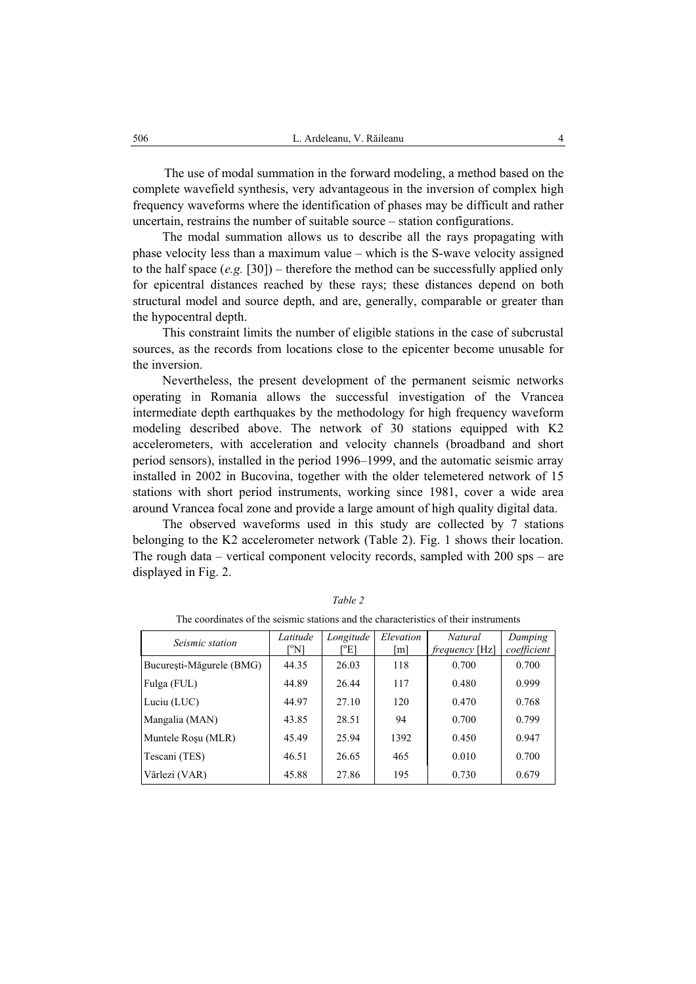The use of modal summation in the forward modeling, a method based on the complete wavefield synthesis, very advantageous in the inversion of complex high frequency waveforms where the identification of phases may be difficult and rather uncertain, restrains the number of suitable source – station configurations.

The modal summation allows us to describe all the rays propagating with phase velocity less than a maximum value – which is the S-wave velocity assigned to the half space (*e.g.* [30]) – therefore the method can be successfully applied only for epicentral distances reached by these rays; these distances depend on both structural model and source depth, and are, generally, comparable or greater than the hypocentral depth.

This constraint limits the number of eligible stations in the case of subcrustal sources, as the records from locations close to the epicenter become unusable for the inversion.

Nevertheless, the present development of the permanent seismic networks operating in Romania allows the successful investigation of the Vrancea intermediate depth earthquakes by the methodology for high frequency waveform modeling described above. The network of 30 stations equipped with K2 accelerometers, with acceleration and velocity channels (broadband and short period sensors), installed in the period 1996–1999, and the automatic seismic array installed in 2002 in Bucovina, together with the older telemetered network of 15 stations with short period instruments, working since 1981, cover a wide area around Vrancea focal zone and provide a large amount of high quality digital data.

The observed waveforms used in this study are collected by 7 stations belonging to the K2 accelerometer network (Table 2). Fig. 1 shows their location. The rough data – vertical component velocity records, sampled with 200 sps – are displayed in Fig. 2.

| Seismic station          | Latitude<br>[°N] | Longitude<br>$E^o$ | Elevation<br>$\lceil m \rceil$ | Natural<br><i>frequency</i> [Hz] | Damping<br>coefficient |
|--------------------------|------------------|--------------------|--------------------------------|----------------------------------|------------------------|
| București-Măgurele (BMG) | 44.35            | 26.03              | 118                            | 0.700                            | 0.700                  |
| Fulga (FUL)              | 44.89            | 26.44              | 117                            | 0.480                            | 0.999                  |
| Luciu (LUC)              | 44.97            | 27.10              | 120                            | 0.470                            | 0.768                  |
| Mangalia (MAN)           | 43.85            | 28.51              | 94                             | 0.700                            | 0.799                  |
| Muntele Rosu (MLR)       | 45.49            | 25.94              | 1392                           | 0.450                            | 0.947                  |
| Tescani (TES)            | 46.51            | 26.65              | 465                            | 0.010                            | 0.700                  |
| Vârlezi (VAR)            | 45.88            | 27.86              | 195                            | 0.730                            | 0.679                  |

*Table 2*  The coordinates of the seismic stations and the characteristics of their instruments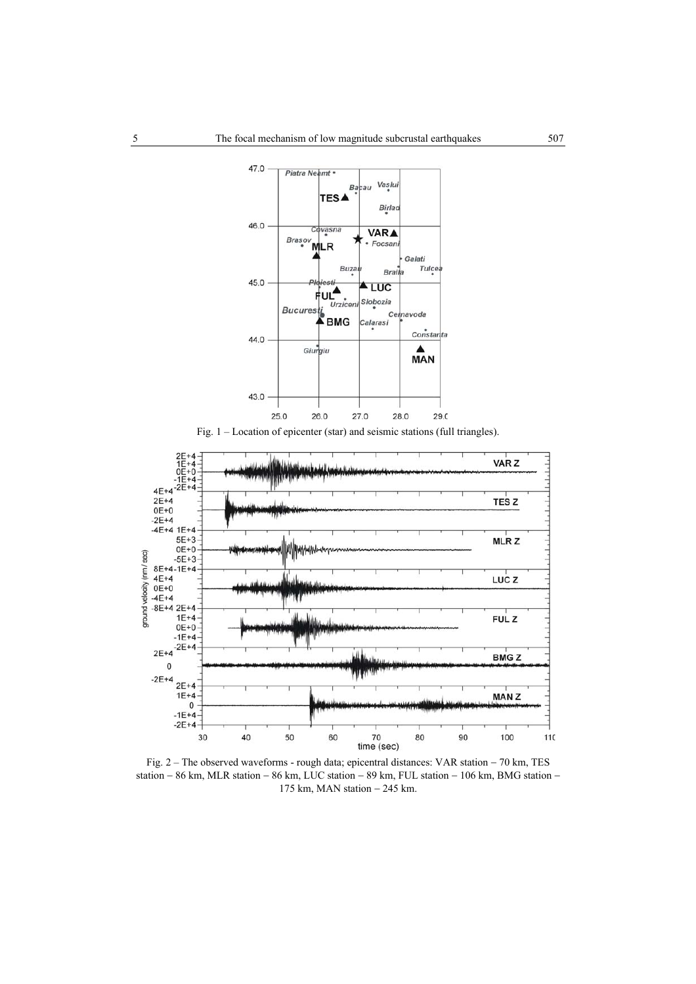

Fig. 1 – Location of epicenter (star) and seismic stations (full triangles).



Fig. 2 – The observed waveforms - rough data; epicentral distances: VAR station − 70 km, TES station − 86 km, MLR station − 86 km, LUC station − 89 km, FUL station − 106 km, BMG station − 175 km, MAN station − 245 km.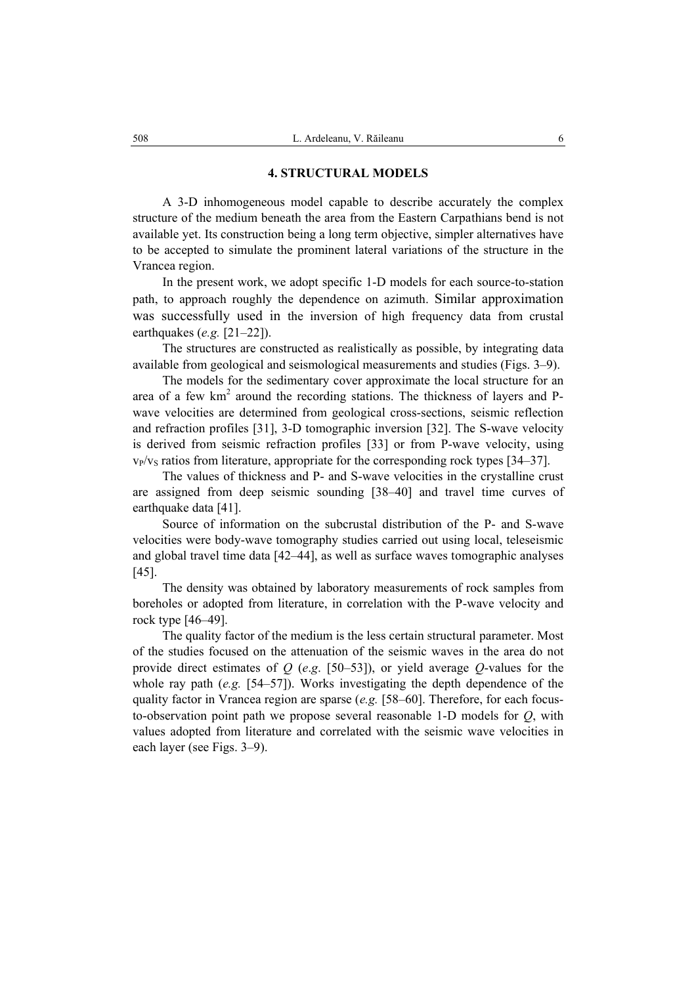#### **4. STRUCTURAL MODELS**

A 3-D inhomogeneous model capable to describe accurately the complex structure of the medium beneath the area from the Eastern Carpathians bend is not available yet. Its construction being a long term objective, simpler alternatives have to be accepted to simulate the prominent lateral variations of the structure in the Vrancea region.

In the present work, we adopt specific 1-D models for each source-to-station path, to approach roughly the dependence on azimuth. Similar approximation was successfully used in the inversion of high frequency data from crustal earthquakes (*e.g.* [21–22]).

The structures are constructed as realistically as possible, by integrating data available from geological and seismological measurements and studies (Figs. 3–9).

The models for the sedimentary cover approximate the local structure for an area of a few  $km<sup>2</sup>$  around the recording stations. The thickness of layers and Pwave velocities are determined from geological cross-sections, seismic reflection and refraction profiles [31], 3-D tomographic inversion [32]. The S-wave velocity is derived from seismic refraction profiles [33] or from P-wave velocity, using  $v_P/v_S$  ratios from literature, appropriate for the corresponding rock types [34–37].

The values of thickness and P- and S-wave velocities in the crystalline crust are assigned from deep seismic sounding [38–40] and travel time curves of earthquake data [41].

Source of information on the subcrustal distribution of the P- and S-wave velocities were body-wave tomography studies carried out using local, teleseismic and global travel time data [42–44], as well as surface waves tomographic analyses [45].

The density was obtained by laboratory measurements of rock samples from boreholes or adopted from literature, in correlation with the P-wave velocity and rock type [46–49].

The quality factor of the medium is the less certain structural parameter. Most of the studies focused on the attenuation of the seismic waves in the area do not provide direct estimates of *Q* (*e*.*g*. [50–53]), or yield average *Q*-values for the whole ray path (*e.g.* [54–57]). Works investigating the depth dependence of the quality factor in Vrancea region are sparse (*e.g.* [58–60]. Therefore, for each focusto-observation point path we propose several reasonable 1-D models for *Q*, with values adopted from literature and correlated with the seismic wave velocities in each layer (see Figs. 3–9).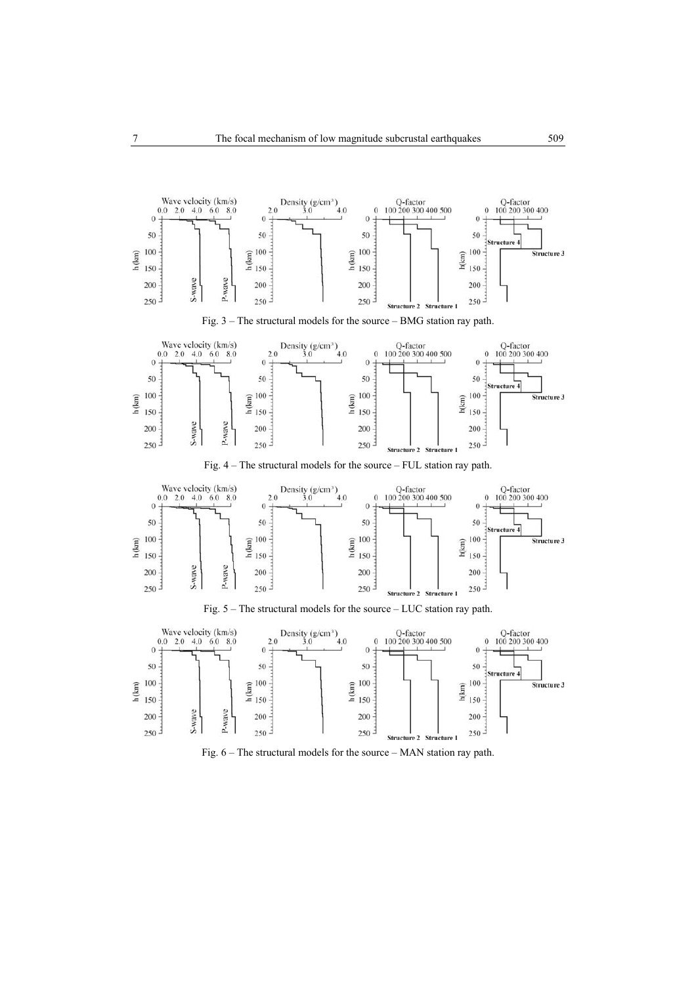

Fig. 3 – The structural models for the source – BMG station ray path.



Fig. 4 – The structural models for the source – FUL station ray path.



Fig. 5 – The structural models for the source – LUC station ray path.



Fig. 6 – The structural models for the source – MAN station ray path.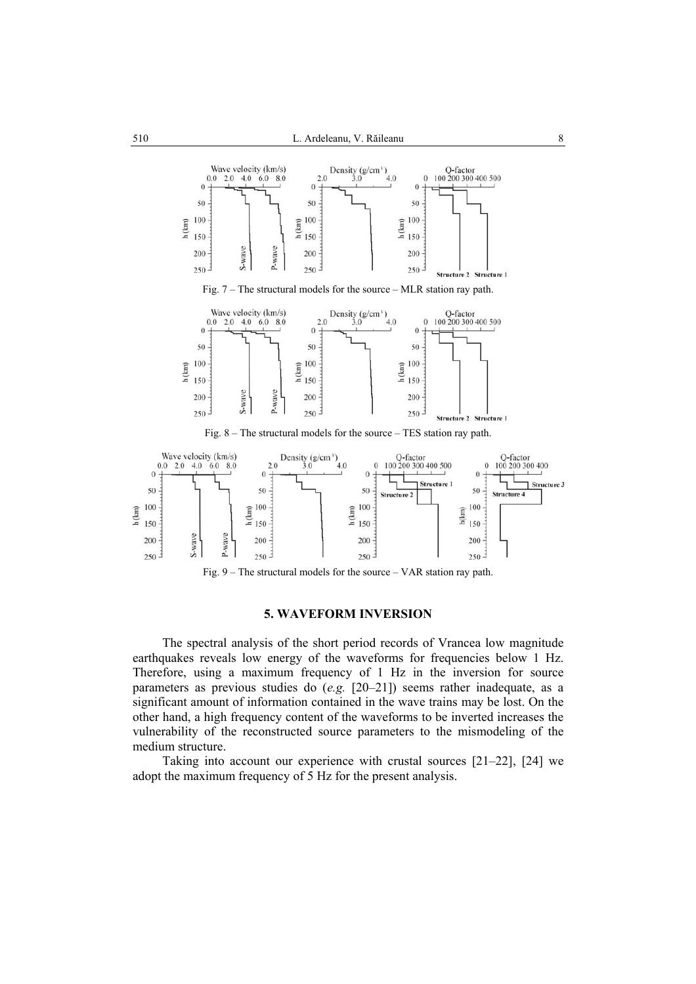



Fig. 9 – The structural models for the source – VAR station ray path.

## **5. WAVEFORM INVERSION**

The spectral analysis of the short period records of Vrancea low magnitude earthquakes reveals low energy of the waveforms for frequencies below 1 Hz. Therefore, using a maximum frequency of 1 Hz in the inversion for source parameters as previous studies do (*e.g.* [20–21]) seems rather inadequate, as a significant amount of information contained in the wave trains may be lost. On the other hand, a high frequency content of the waveforms to be inverted increases the vulnerability of the reconstructed source parameters to the mismodeling of the medium structure.

Taking into account our experience with crustal sources [21–22], [24] we adopt the maximum frequency of 5 Hz for the present analysis.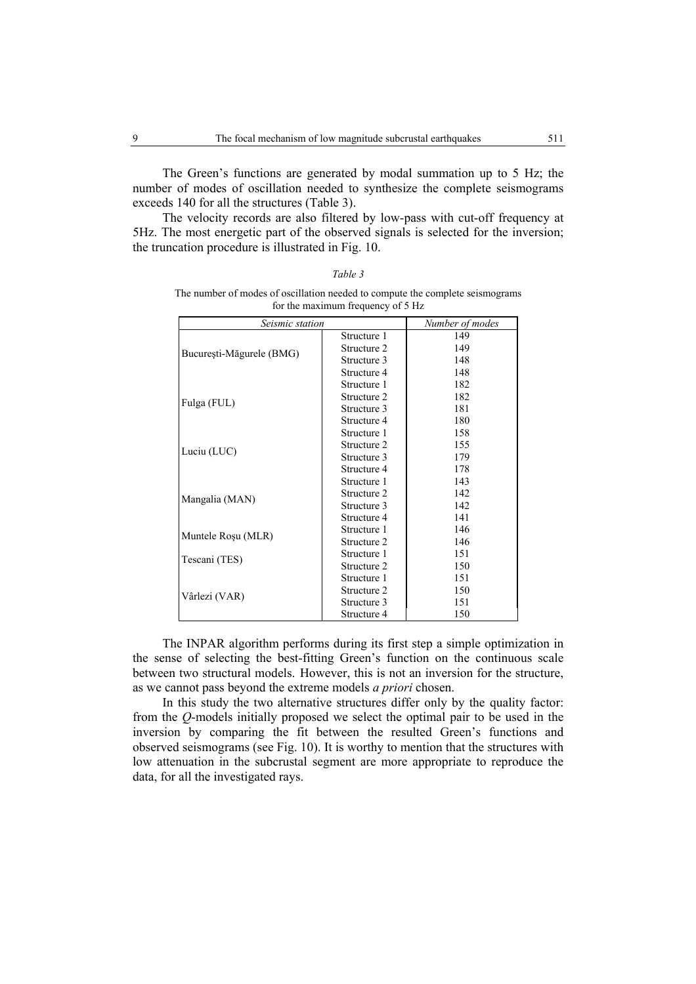The Green's functions are generated by modal summation up to 5 Hz; the number of modes of oscillation needed to synthesize the complete seismograms exceeds 140 for all the structures (Table 3).

The velocity records are also filtered by low-pass with cut-off frequency at 5Hz. The most energetic part of the observed signals is selected for the inversion; the truncation procedure is illustrated in Fig. 10.

| for the maximum frequency of 5 Hz |             |                 |  |  |  |  |  |  |
|-----------------------------------|-------------|-----------------|--|--|--|--|--|--|
| Seismic station                   |             | Number of modes |  |  |  |  |  |  |
|                                   | Structure 1 | 149             |  |  |  |  |  |  |
|                                   | Structure 2 | 149             |  |  |  |  |  |  |
| București-Măgurele (BMG)          | Structure 3 | 148             |  |  |  |  |  |  |
|                                   | Structure 4 | 148             |  |  |  |  |  |  |
|                                   | Structure 1 | 182             |  |  |  |  |  |  |
| Fulga (FUL)                       | Structure 2 | 182             |  |  |  |  |  |  |
|                                   | Structure 3 | 181             |  |  |  |  |  |  |
|                                   | Structure 4 | 180             |  |  |  |  |  |  |
| Luciu (LUC)                       | Structure 1 | 158             |  |  |  |  |  |  |
|                                   | Structure 2 | 155             |  |  |  |  |  |  |
|                                   | Structure 3 | 179             |  |  |  |  |  |  |
|                                   | Structure 4 | 178             |  |  |  |  |  |  |
|                                   | Structure 1 | 143             |  |  |  |  |  |  |
|                                   | Structure 2 | 142             |  |  |  |  |  |  |
| Mangalia (MAN)                    | Structure 3 | 142             |  |  |  |  |  |  |
|                                   | Structure 4 | 141             |  |  |  |  |  |  |
|                                   | Structure 1 | 146             |  |  |  |  |  |  |
| Muntele Rosu (MLR)                | Structure 2 | 146             |  |  |  |  |  |  |
|                                   | Structure 1 | 151             |  |  |  |  |  |  |
| Tescani (TES)                     | Structure 2 | 150             |  |  |  |  |  |  |
|                                   | Structure 1 | 151             |  |  |  |  |  |  |
|                                   | Structure 2 | 150             |  |  |  |  |  |  |
| Vârlezi (VAR)                     | Structure 3 | 151             |  |  |  |  |  |  |
|                                   | Structure 4 | 150             |  |  |  |  |  |  |

| The number of modes of oscillation needed to compute the complete seismograms |                                   |  |  |
|-------------------------------------------------------------------------------|-----------------------------------|--|--|
|                                                                               | for the maximum frequency of 5 Hz |  |  |

*Table 3* 

The INPAR algorithm performs during its first step a simple optimization in the sense of selecting the best-fitting Green's function on the continuous scale between two structural models. However, this is not an inversion for the structure, as we cannot pass beyond the extreme models *a priori* chosen.

In this study the two alternative structures differ only by the quality factor: from the *Q*-models initially proposed we select the optimal pair to be used in the inversion by comparing the fit between the resulted Green's functions and observed seismograms (see Fig. 10). It is worthy to mention that the structures with low attenuation in the subcrustal segment are more appropriate to reproduce the data, for all the investigated rays.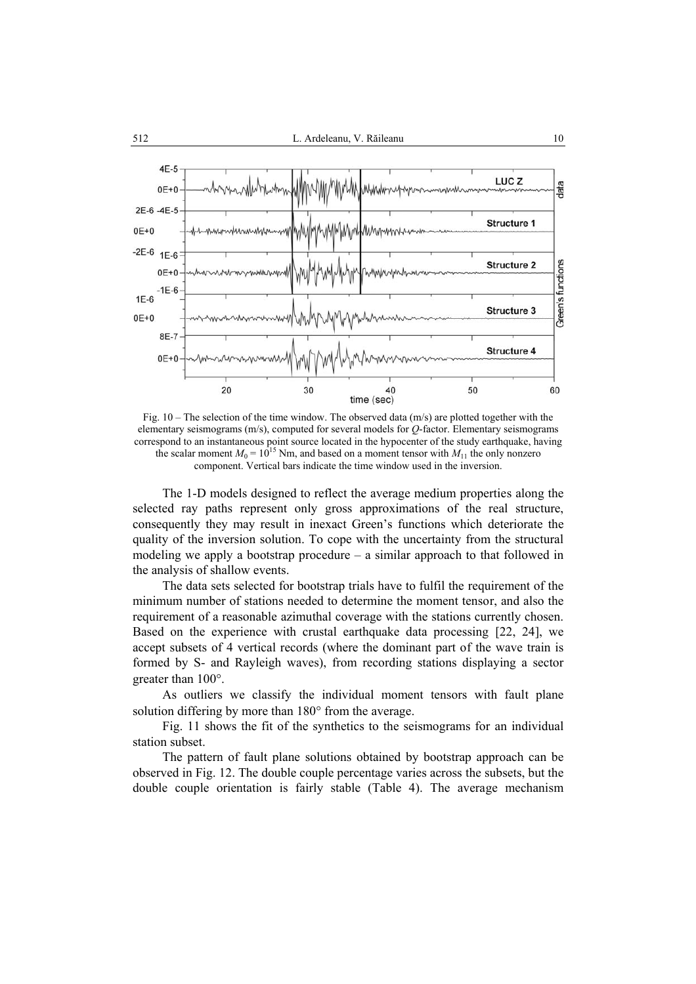

Fig.  $10 -$ The selection of the time window. The observed data  $(m/s)$  are plotted together with the elementary seismograms (m/s), computed for several models for *Q*-factor. Elementary seismograms correspond to an instantaneous point source located in the hypocenter of the study earthquake, having the scalar moment  $M_0 = 10^{15}$  Nm, and based on a moment tensor with  $M_{11}$  the only nonzero component. Vertical bars indicate the time window used in the inversion.

The 1-D models designed to reflect the average medium properties along the selected ray paths represent only gross approximations of the real structure, consequently they may result in inexact Green's functions which deteriorate the quality of the inversion solution. To cope with the uncertainty from the structural modeling we apply a bootstrap procedure  $-$  a similar approach to that followed in the analysis of shallow events.

The data sets selected for bootstrap trials have to fulfil the requirement of the minimum number of stations needed to determine the moment tensor, and also the requirement of a reasonable azimuthal coverage with the stations currently chosen. Based on the experience with crustal earthquake data processing [22, 24], we accept subsets of 4 vertical records (where the dominant part of the wave train is formed by S- and Rayleigh waves), from recording stations displaying a sector greater than 100°.

As outliers we classify the individual moment tensors with fault plane solution differing by more than 180° from the average.

Fig. 11 shows the fit of the synthetics to the seismograms for an individual station subset.

The pattern of fault plane solutions obtained by bootstrap approach can be observed in Fig. 12. The double couple percentage varies across the subsets, but the double couple orientation is fairly stable (Table 4). The average mechanism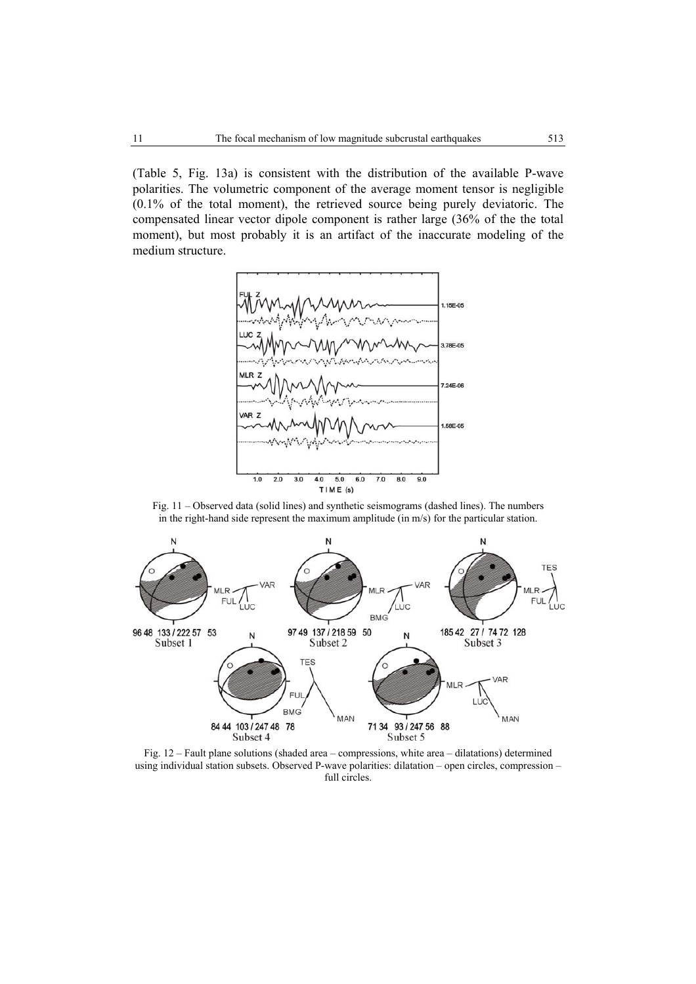(Table 5, Fig. 13a) is consistent with the distribution of the available P-wave polarities. The volumetric component of the average moment tensor is negligible (0.1% of the total moment), the retrieved source being purely deviatoric. The compensated linear vector dipole component is rather large (36% of the the total moment), but most probably it is an artifact of the inaccurate modeling of the medium structure.



Fig. 11 – Observed data (solid lines) and synthetic seismograms (dashed lines). The numbers in the right-hand side represent the maximum amplitude (in m/s) for the particular station.



Fig. 12 – Fault plane solutions (shaded area – compressions, white area – dilatations) determined using individual station subsets. Observed P-wave polarities: dilatation – open circles, compression – full circles.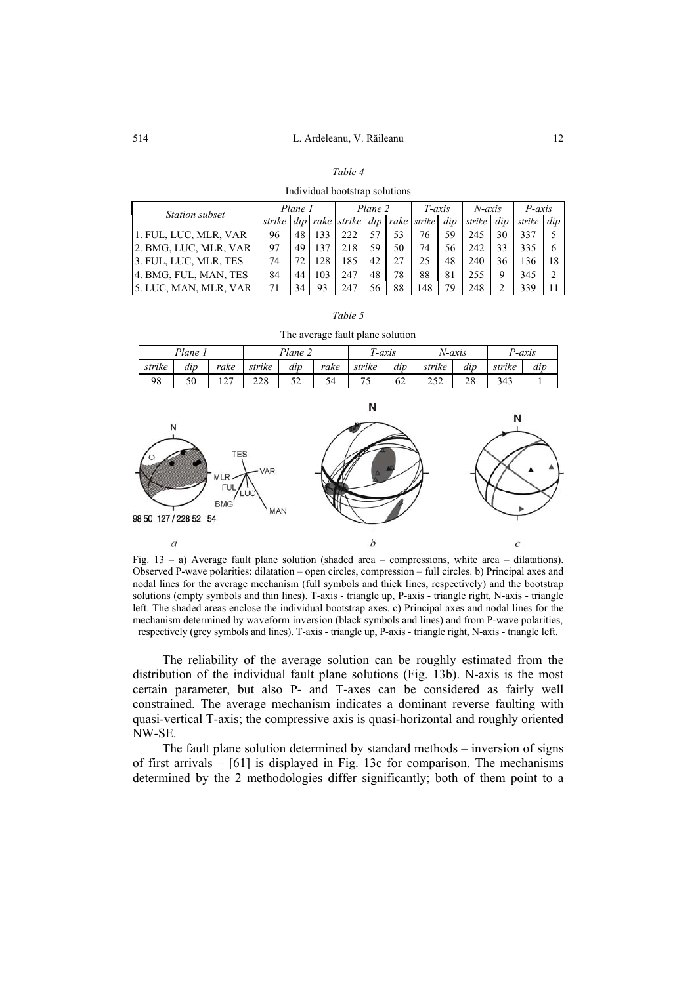| I<br>I |  |
|--------|--|
|--------|--|

Individual bootstrap solutions

| Station subset        | Plane 1 |    | Plane 2 |             |     | $T$ -axis |        | N-axis |        | P-axis |        |     |
|-----------------------|---------|----|---------|-------------|-----|-----------|--------|--------|--------|--------|--------|-----|
|                       | strike  |    |         | rake strike | dip | rake      | strike | dip    | strike | dip    | strike | dip |
| 1. FUL, LUC, MLR, VAR | 96      | 48 | 133     | 222         |     | 53        | 76     | 59     | 245    | 30     | 337    |     |
| 2. BMG, LUC, MLR, VAR | 97      | 49 |         | 218         | 59  | 50        | 74     |        | 242    | 33     | 335    |     |
| 3. FUL, LUC, MLR, TES | 74      |    |         | 85          | 42  | 27        | 25     | 48     | 240    | 36     | 136    | 18  |
| 4. BMG, FUL, MAN, TES | 84      | 44 | 103     | 247         | 48  | 78        | 88     | 81     | 255    | 9      | 345    |     |
| 5. LUC, MAN, MLR, VAR | 71      |    | 93      | 247         | 56  | 88        | 148    | 79     | 248    |        | 339    |     |

| ۰,<br>I<br>i<br>i |  |
|-------------------|--|
|-------------------|--|

| The average fault plane solution |  |  |
|----------------------------------|--|--|
|                                  |  |  |

|        | $Plan$ e $\lceil$ |                  | $Plane \sim$ |            | $\mathbf{u}$ | -axis  | N-axis                |            | $D$ -axis                   |        |     |
|--------|-------------------|------------------|--------------|------------|--------------|--------|-----------------------|------------|-----------------------------|--------|-----|
| strike | dıp               | rake             | strike       | dip        | rake         | strike | $\mathbf{r}$ .<br>dıp | strike     | dıp                         | strike | dip |
| 98     | 50                | $\sim$<br>$\sim$ | 228          | م ح<br>ے ب |              |        | 62                    | າເາ<br>ے ب | $\mathcal{D}^{\circ}$<br>20 | 343    |     |



Fig.  $13 - a$ ) Average fault plane solution (shaded area – compressions, white area – dilatations). Observed P-wave polarities: dilatation – open circles, compression – full circles. b) Principal axes and nodal lines for the average mechanism (full symbols and thick lines, respectively) and the bootstrap solutions (empty symbols and thin lines). T-axis - triangle up, P-axis - triangle right, N-axis - triangle left. The shaded areas enclose the individual bootstrap axes. c) Principal axes and nodal lines for the mechanism determined by waveform inversion (black symbols and lines) and from P-wave polarities, respectively (grey symbols and lines). T-axis - triangle up, P-axis - triangle right, N-axis - triangle left.

The reliability of the average solution can be roughly estimated from the distribution of the individual fault plane solutions (Fig. 13b). N-axis is the most certain parameter, but also P- and T-axes can be considered as fairly well constrained. The average mechanism indicates a dominant reverse faulting with quasi-vertical T-axis; the compressive axis is quasi-horizontal and roughly oriented NW-SE.

The fault plane solution determined by standard methods – inversion of signs of first arrivals – [61] is displayed in Fig. 13c for comparison. The mechanisms determined by the 2 methodologies differ significantly; both of them point to a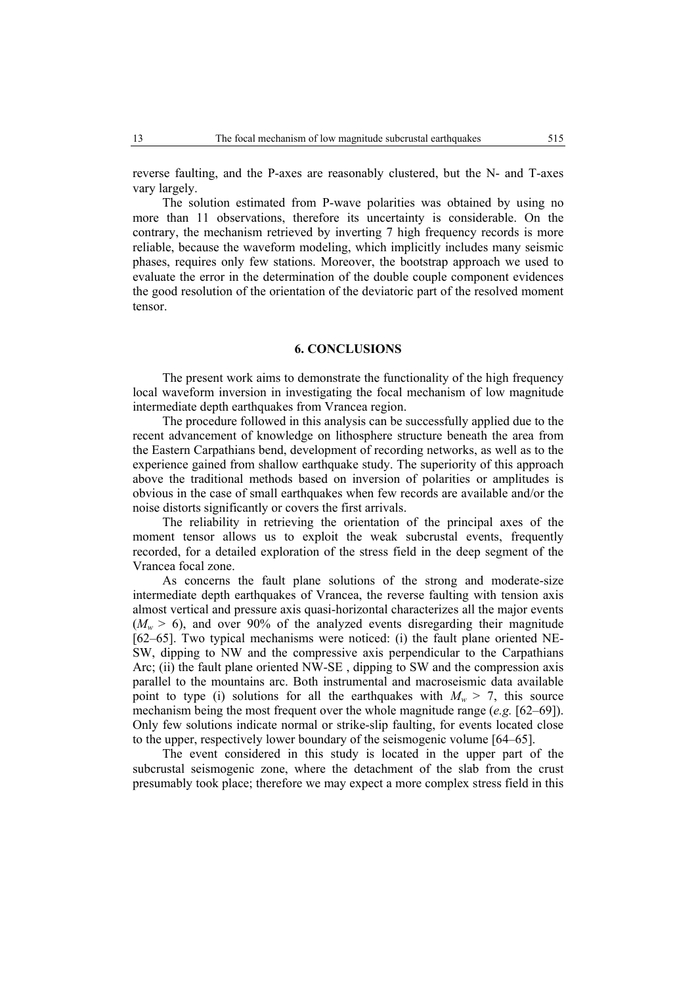reverse faulting, and the P-axes are reasonably clustered, but the N- and T-axes vary largely.

The solution estimated from P-wave polarities was obtained by using no more than 11 observations, therefore its uncertainty is considerable. On the contrary, the mechanism retrieved by inverting 7 high frequency records is more reliable, because the waveform modeling, which implicitly includes many seismic phases, requires only few stations. Moreover, the bootstrap approach we used to evaluate the error in the determination of the double couple component evidences the good resolution of the orientation of the deviatoric part of the resolved moment tensor.

## **6. CONCLUSIONS**

The present work aims to demonstrate the functionality of the high frequency local waveform inversion in investigating the focal mechanism of low magnitude intermediate depth earthquakes from Vrancea region.

The procedure followed in this analysis can be successfully applied due to the recent advancement of knowledge on lithosphere structure beneath the area from the Eastern Carpathians bend, development of recording networks, as well as to the experience gained from shallow earthquake study. The superiority of this approach above the traditional methods based on inversion of polarities or amplitudes is obvious in the case of small earthquakes when few records are available and/or the noise distorts significantly or covers the first arrivals.

The reliability in retrieving the orientation of the principal axes of the moment tensor allows us to exploit the weak subcrustal events, frequently recorded, for a detailed exploration of the stress field in the deep segment of the Vrancea focal zone.

As concerns the fault plane solutions of the strong and moderate-size intermediate depth earthquakes of Vrancea, the reverse faulting with tension axis almost vertical and pressure axis quasi-horizontal characterizes all the major events  $(M_w > 6)$ , and over 90% of the analyzed events disregarding their magnitude [62–65]. Two typical mechanisms were noticed: (i) the fault plane oriented NE-SW, dipping to NW and the compressive axis perpendicular to the Carpathians Arc; (ii) the fault plane oriented NW-SE , dipping to SW and the compression axis parallel to the mountains arc. Both instrumental and macroseismic data available point to type (i) solutions for all the earthquakes with  $M_w > 7$ , this source mechanism being the most frequent over the whole magnitude range (*e.g.* [62–69]). Only few solutions indicate normal or strike-slip faulting, for events located close to the upper, respectively lower boundary of the seismogenic volume [64–65].

The event considered in this study is located in the upper part of the subcrustal seismogenic zone, where the detachment of the slab from the crust presumably took place; therefore we may expect a more complex stress field in this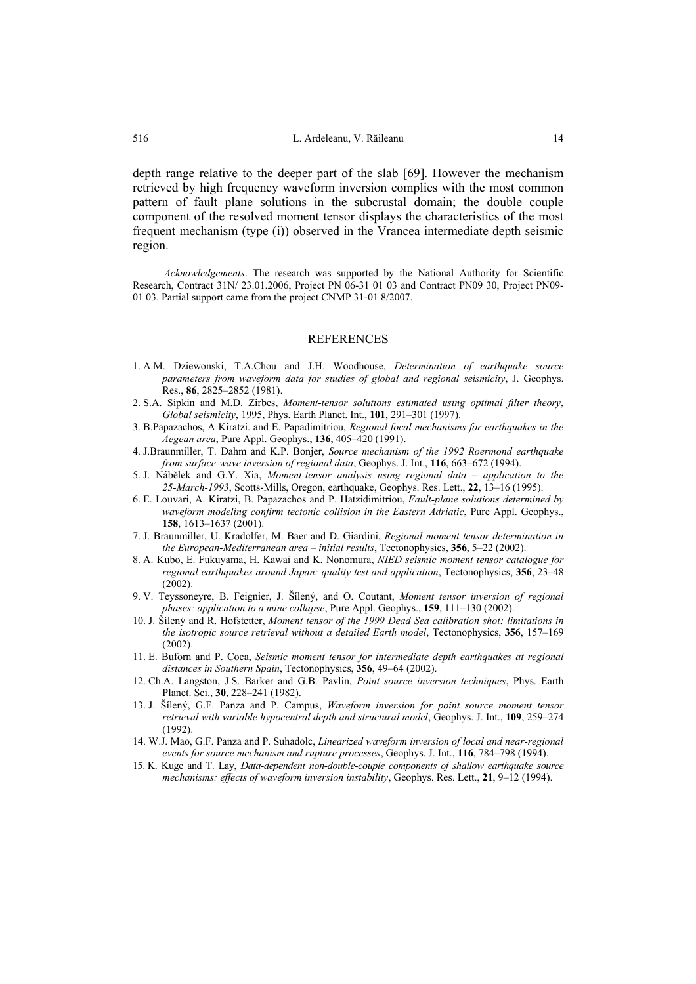depth range relative to the deeper part of the slab [69]. However the mechanism retrieved by high frequency waveform inversion complies with the most common pattern of fault plane solutions in the subcrustal domain; the double couple component of the resolved moment tensor displays the characteristics of the most frequent mechanism (type (i)) observed in the Vrancea intermediate depth seismic region.

*Acknowledgements*. The research was supported by the National Authority for Scientific Research, Contract 31N/ 23.01.2006, Project PN 06-31 01 03 and Contract PN09 30, Project PN09- 01 03. Partial support came from the project CNMP 31-01 8/2007.

#### REFERENCES

- 1. A.M. Dziewonski, T.A.Chou and J.H. Woodhouse, *Determination of earthquake source parameters from waveform data for studies of global and regional seismicity*, J. Geophys. Res., **86**, 2825–2852 (1981).
- 2. S.A. Sipkin and M.D. Zirbes, *Moment-tensor solutions estimated using optimal filter theory*, *Global seismicity*, 1995, Phys. Earth Planet. Int., **101**, 291–301 (1997).
- 3. B.Papazachos, A Kiratzi. and E. Papadimitriou, *Regional focal mechanisms for earthquakes in the Aegean area*, Pure Appl. Geophys., **136**, 405–420 (1991).
- 4. J.Braunmiller, T. Dahm and K.P. Bonjer, *Source mechanism of the 1992 Roermond earthquake from surface-wave inversion of regional data*, Geophys. J. Int., **116**, 663–672 (1994).
- 5. J. Nábělek and G.Y. Xia, *Moment-tensor analysis using regional data application to the 25-March-1993*, Scotts-Mills, Oregon, earthquake, Geophys. Res. Lett., **22**, 13–16 (1995).
- 6. E. Louvari, A. Kiratzi, B. Papazachos and P. Hatzidimitriou, *Fault-plane solutions determined by waveform modeling confirm tectonic collision in the Eastern Adriatic*, Pure Appl. Geophys., **158**, 1613–1637 (2001).
- 7. J. Braunmiller, U. Kradolfer, M. Baer and D. Giardini, *Regional moment tensor determination in the European-Mediterranean area – initial results*, Tectonophysics, **356**, 5–22 (2002).
- 8. A. Kubo, E. Fukuyama, H. Kawai and K. Nonomura, *NIED seismic moment tensor catalogue for regional earthquakes around Japan: quality test and application*, Tectonophysics, **356**, 23–48  $(2002)$ .
- 9. V. Teyssoneyre, B. Feignier, J. Šílený, and O. Coutant, *Moment tensor inversion of regional phases: application to a mine collapse*, Pure Appl. Geophys., **159**, 111–130 (2002).
- 10. J. Šílený and R. Hofstetter, *Moment tensor of the 1999 Dead Sea calibration shot: limitations in the isotropic source retrieval without a detailed Earth model*, Tectonophysics, **356**, 157–169 (2002).
- 11. E. Buforn and P. Coca, *Seismic moment tensor for intermediate depth earthquakes at regional distances in Southern Spain*, Tectonophysics, **356**, 49–64 (2002).
- 12. Ch.A. Langston, J.S. Barker and G.B. Pavlin, *Point source inversion techniques*, Phys. Earth Planet. Sci., **30**, 228–241 (1982).
- 13. J. Šílený, G.F. Panza and P. Campus, *Waveform inversion for point source moment tensor retrieval with variable hypocentral depth and structural model*, Geophys. J. Int., **109**, 259–274 (1992).
- 14. W.J. Mao, G.F. Panza and P. Suhadolc, *Linearized waveform inversion of local and near-regional events for source mechanism and rupture processes*, Geophys. J. Int., **116**, 784–798 (1994).
- 15. K. Kuge and T. Lay, *Data-dependent non-double-couple components of shallow earthquake source mechanisms: effects of waveform inversion instability*, Geophys. Res. Lett., **21**, 9–12 (1994).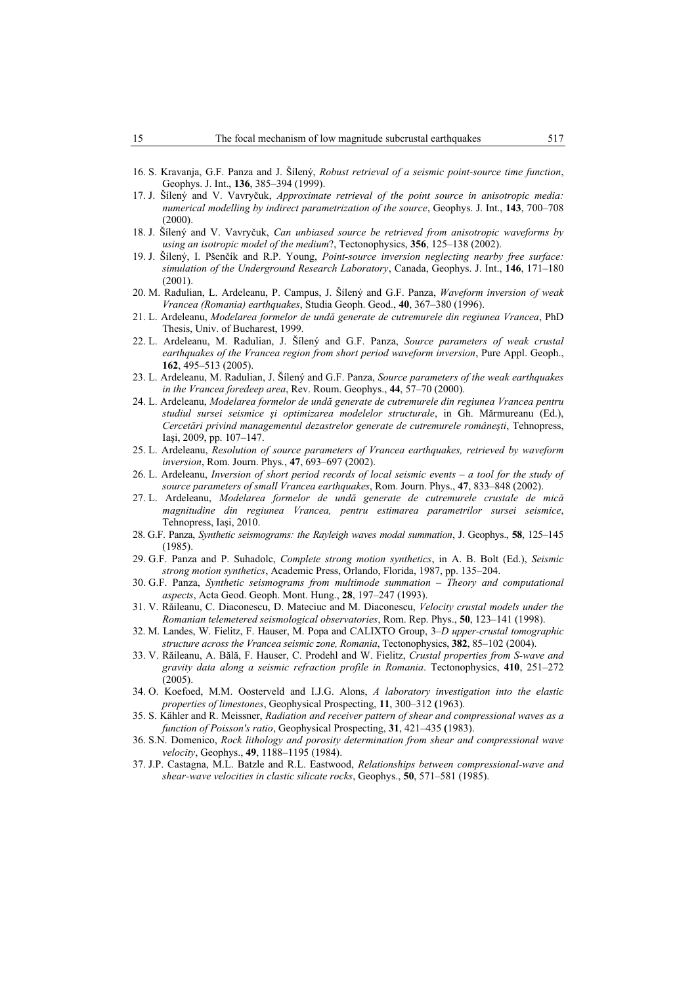- 16. S. Kravanja, G.F. Panza and J. Šílený, *Robust retrieval of a seismic point-source time function*, Geophys. J. Int., **136**, 385–394 (1999).
- 17. J. Šílený and V. Vavryčuk, *Approximate retrieval of the point source in anisotropic media: numerical modelling by indirect parametrization of the source*, Geophys. J. Int., **143**, 700–708 (2000).
- 18. J. Šílený and V. Vavryčuk, *Can unbiased source be retrieved from anisotropic waveforms by using an isotropic model of the medium*?, Tectonophysics, **356**, 125–138 (2002).
- 19. J. Šílený, I. Pšenčík and R.P. Young, *Point-source inversion neglecting nearby free surface: simulation of the Underground Research Laboratory*, Canada, Geophys. J. Int., **146**, 171–180 (2001).
- 20. M. Radulian, L. Ardeleanu, P. Campus, J. Šílený and G.F. Panza, *Waveform inversion of weak Vrancea (Romania) earthquakes*, Studia Geoph. Geod., **40**, 367–380 (1996).
- 21. L. Ardeleanu, *Modelarea formelor de undă generate de cutremurele din regiunea Vrancea*, PhD Thesis, Univ. of Bucharest, 1999.
- 22. L. Ardeleanu, M. Radulian, J. Šílený and G.F. Panza, *Source parameters of weak crustal earthquakes of the Vrancea region from short period waveform inversion*, Pure Appl. Geoph., **162**, 495–513 (2005).
- 23. L. Ardeleanu, M. Radulian, J. Šílený and G.F. Panza, *Source parameters of the weak earthquakes in the Vrancea foredeep area*, Rev. Roum. Geophys., **44**, 57–70 (2000).
- 24. L. Ardeleanu, *Modelarea formelor de undă generate de cutremurele din regiunea Vrancea pentru studiul sursei seismice şi optimizarea modelelor structurale*, in Gh. Mărmureanu (Ed.), *Cercetări privind managementul dezastrelor generate de cutremurele româneşti*, Tehnopress, Iaşi, 2009, pp. 107–147.
- 25. L. Ardeleanu, *Resolution of source parameters of Vrancea earthquakes, retrieved by waveform inversion*, Rom. Journ. Phys*.*, **47**, 693–697 (2002).
- 26. L. Ardeleanu, *Inversion of short period records of local seismic events a tool for the study of source parameters of small Vrancea earthquakes*, Rom. Journ. Phys., **47**, 833–848 (2002).
- 27. L. Ardeleanu, *Modelarea formelor de undă generate de cutremurele crustale de mică magnitudine din regiunea Vrancea, pentru estimarea parametrilor sursei seismice*, Tehnopress, Iaşi, 2010.
- 28. G.F. Panza, *Synthetic seismograms: the Rayleigh waves modal summation*, J. Geophys., **58**, 125–145 (1985).
- 29. G.F. Panza and P. Suhadolc, *Complete strong motion synthetics*, in A. B. Bolt (Ed.), *Seismic strong motion synthetics*, Academic Press, Orlando, Florida, 1987, pp. 135–204.
- 30. G.F. Panza, *Synthetic seismograms from multimode summation Theory and computational aspects*, Acta Geod. Geoph. Mont. Hung., **28**, 197–247 (1993).
- 31. V. Răileanu, C. Diaconescu, D. Mateciuc and M. Diaconescu, *Velocity crustal models under the Romanian telemetered seismological observatories*, Rom. Rep. Phys., **50**, 123–141 (1998).
- 32. M. Landes, W. Fielitz, F. Hauser, M. Popa and CALIXTO Group, 3*–D upper-crustal tomographic structure across the Vrancea seismic zone, Romania*, Tectonophysics, **382**, 85–102 (2004).
- 33. V. Răileanu, A. Bălă, F. Hauser, C. Prodehl and W. Fielitz, *Crustal properties from S-wave and gravity data along a seismic refraction profile in Romania*. Tectonophysics, **410**, 251–272  $(2005)$
- 34. O. Koefoed, M.M. Oosterveld and I.J.G. Alons, *A laboratory investigation into the elastic properties of limestones*, Geophysical Prospecting, **11**, 300–312 **(**1963).
- 35. S. Kähler and R. Meissner, *Radiation and receiver pattern of shear and compressional waves as a function of Poisson's ratio*, Geophysical Prospecting, **31**, 421–435 **(**1983).
- 36. S.N. Domenico, *Rock lithology and porosity determination from shear and compressional wave velocity*, Geophys., **49**, 1188–1195 (1984).
- 37. J.P. Castagna, M.L. Batzle and R.L. Eastwood, *Relationships between compressional-wave and shear-wave velocities in clastic silicate rocks*, Geophys., **50**, 571–581 (1985).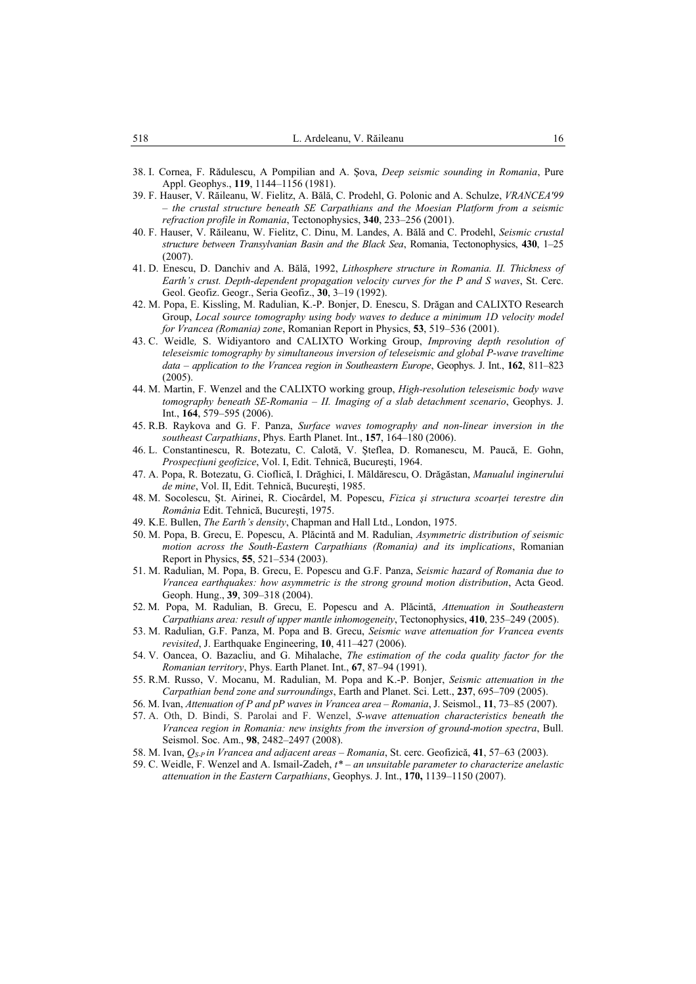- 38. I. Cornea, F. Rădulescu, A Pompilian and A. Şova, *Deep seismic sounding in Romania*, Pure Appl. Geophys., **119**, 1144–1156 (1981).
- 39. F. Hauser, V. Răileanu, W. Fielitz, A. Bălă, C. Prodehl, G. Polonic and A. Schulze, *VRANCEA'99 – the crustal structure beneath SE Carpathians and the Moesian Platform from a seismic refraction profile in Romania*, Tectonophysics, **340**, 233–256 (2001).
- 40. F. Hauser, V. Răileanu, W. Fielitz, C. Dinu, M. Landes, A. Bălă and C. Prodehl, *Seismic crustal structure between Transylvanian Basin and the Black Sea*, Romania, Tectonophysics, **430**, 1–25 (2007).
- 41. D. Enescu, D. Danchiv and A. Bălă, 1992, *Lithosphere structure in Romania. II. Thickness of Earth's crust. Depth-dependent propagation velocity curves for the P and S waves*, St. Cerc. Geol. Geofiz. Geogr., Seria Geofiz., **30**, 3–19 (1992).
- 42. M. Popa, E. Kissling, M. Radulian, K.-P. Bonjer, D. Enescu, S. Drăgan and CALIXTO Research Group, *Local source tomography using body waves to deduce a minimum 1D velocity model for Vrancea (Romania) zone*, Romanian Report in Physics, **53**, 519–536 (2001).
- 43. C. Weidle*,* S. Widiyantoro and CALIXTO Working Group, *Improving depth resolution of teleseismic tomography by simultaneous inversion of teleseismic and global P-wave traveltime data – application to the Vrancea region in Southeastern Europe*, Geophys. J. Int., **162**, 811–823 (2005).
- 44. M. Martin, F. Wenzel and the CALIXTO working group, *High-resolution teleseismic body wave tomography beneath SE-Romania – II. Imaging of a slab detachment scenario*, Geophys. J. Int., **164**, 579–595 (2006).
- 45. R.B. Raykova and G. F. Panza, *Surface waves tomography and non-linear inversion in the southeast Carpathians*, Phys. Earth Planet. Int., **157**, 164–180 (2006).
- 46. L. Constantinescu, R. Botezatu, C. Calotă, V. Şteflea, D. Romanescu, M. Paucă, E. Gohn, *Prospecţiuni geofizice*, Vol. I, Edit. Tehnică, Bucureşti, 1964.
- 47. A. Popa, R. Botezatu, G. Cioflică, I. Drăghici, I. Măldărescu, O. Drăgăstan, *Manualul inginerului de mine*, Vol. II, Edit. Tehnică, Bucureşti, 1985.
- 48. M. Socolescu, Şt. Airinei, R. Ciocârdel, M. Popescu, *Fizica şi structura scoarţei terestre din România* Edit. Tehnică, Bucureşti, 1975.
- 49. K.E. Bullen, *The Earth's density*, Chapman and Hall Ltd., London, 1975.
- 50. M. Popa, B. Grecu, E. Popescu, A. Plăcintă and M. Radulian, *Asymmetric distribution of seismic motion across the South-Eastern Carpathians (Romania) and its implications*, Romanian Report in Physics, **55**, 521–534 (2003).
- 51. M. Radulian, M. Popa, B. Grecu, E. Popescu and G.F. Panza, *Seismic hazard of Romania due to Vrancea earthquakes: how asymmetric is the strong ground motion distribution*, Acta Geod. Geoph. Hung., **39**, 309–318 (2004).
- 52. M. Popa, M. Radulian, B. Grecu, E. Popescu and A. Plăcintă, *Attenuation in Southeastern Carpathians area: result of upper mantle inhomogeneity*, Tectonophysics, **410**, 235–249 (2005).
- 53. M. Radulian, G.F. Panza, M. Popa and B. Grecu, *Seismic wave attenuation for Vrancea events revisited*, J. Earthquake Engineering, **10**, 411–427 (2006).
- 54. V. Oancea, O. Bazacliu, and G. Mihalache, *The estimation of the coda quality factor for the Romanian territory*, Phys. Earth Planet. Int., **67**, 87–94 (1991).
- 55. R.M. Russo, V. Mocanu, M. Radulian, M. Popa and K.-P. Bonjer, *Seismic attenuation in the Carpathian bend zone and surroundings*, Earth and Planet. Sci. Lett., **237**, 695–709 (2005).
- 56. M. Ivan, *Attenuation of P and pP waves in Vrancea area Romania*, J. Seismol., **11**, 73–85 (2007).
- 57. A. Oth, D. Bindi, S. Parolai and F. Wenzel, *S-wave attenuation characteristics beneath the Vrancea region in Romania: new insights from the inversion of ground-motion spectra*, Bull. Seismol. Soc. Am., **98**, 2482–2497 (2008).
- 58. M. Ivan, *QS-P in Vrancea and adjacent areas Romania*, St. cerc. Geofizică, **41**, 57–63 (2003).
- 59. C. Weidle, F. Wenzel and A. Ismail-Zadeh, *t\* an unsuitable parameter to characterize anelastic attenuation in the Eastern Carpathians*, Geophys. J. Int., **170,** 1139–1150 (2007).